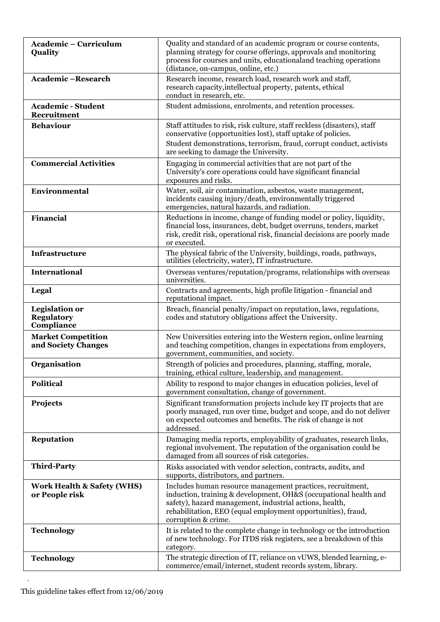| <b>Academic - Curriculum</b><br>Quality                  | Quality and standard of an academic program or course contents,<br>planning strategy for course offerings, approvals and monitoring<br>process for courses and units, educational and teaching operations<br>(distance, on-campus, online, etc.)                                 |
|----------------------------------------------------------|----------------------------------------------------------------------------------------------------------------------------------------------------------------------------------------------------------------------------------------------------------------------------------|
| Academic-Research                                        | Research income, research load, research work and staff,<br>research capacity, intellectual property, patents, ethical<br>conduct in research, etc.                                                                                                                              |
| <b>Academic - Student</b><br><b>Recruitment</b>          | Student admissions, enrolments, and retention processes.                                                                                                                                                                                                                         |
| <b>Behaviour</b>                                         | Staff attitudes to risk, risk culture, staff reckless (disasters), staff<br>conservative (opportunities lost), staff uptake of policies.<br>Student demonstrations, terrorism, fraud, corrupt conduct, activists<br>are seeking to damage the University.                        |
| <b>Commercial Activities</b>                             | Engaging in commercial activities that are not part of the<br>University's core operations could have significant financial<br>exposures and risks.                                                                                                                              |
| Environmental                                            | Water, soil, air contamination, asbestos, waste management,<br>incidents causing injury/death, environmentally triggered<br>emergencies, natural hazards, and radiation.                                                                                                         |
| <b>Financial</b>                                         | Reductions in income, change of funding model or policy, liquidity,<br>financial loss, insurances, debt, budget overruns, tenders, market<br>risk, credit risk, operational risk, financial decisions are poorly made<br>or executed.                                            |
| Infrastructure                                           | The physical fabric of the University, buildings, roads, pathways,<br>utilities (electricity, water), IT infrastructure.                                                                                                                                                         |
| <b>International</b>                                     | Overseas ventures/reputation/programs, relationships with overseas<br>universities.                                                                                                                                                                                              |
| Legal                                                    | Contracts and agreements, high profile litigation - financial and<br>reputational impact.                                                                                                                                                                                        |
| <b>Legislation or</b><br><b>Regulatory</b><br>Compliance | Breach, financial penalty/impact on reputation, laws, regulations,<br>codes and statutory obligations affect the University.                                                                                                                                                     |
| <b>Market Competition</b><br>and Society Changes         | New Universities entering into the Western region, online learning<br>and teaching competition, changes in expectations from employers,<br>government, communities, and society.                                                                                                 |
| <b>Organisation</b>                                      | Strength of policies and procedures, planning, staffing, morale,<br>training, ethical culture, leadership, and management.                                                                                                                                                       |
| <b>Political</b>                                         | Ability to respond to major changes in education policies, level of<br>government consultation, change of government.                                                                                                                                                            |
| <b>Projects</b>                                          | Significant transformation projects include key IT projects that are<br>poorly managed, run over time, budget and scope, and do not deliver<br>on expected outcomes and benefits. The risk of change is not<br>addressed.                                                        |
| <b>Reputation</b>                                        | Damaging media reports, employability of graduates, research links,<br>regional involvement. The reputation of the organisation could be<br>damaged from all sources of risk categories.                                                                                         |
| <b>Third-Party</b>                                       | Risks associated with vendor selection, contracts, audits, and<br>supports, distributors, and partners.                                                                                                                                                                          |
| <b>Work Health &amp; Safety (WHS)</b><br>or People risk  | Includes human resource management practices, recruitment,<br>induction, training & development, OH&S (occupational health and<br>safety), hazard management, industrial actions, health,<br>rehabilitation, EEO (equal employment opportunities), fraud,<br>corruption & crime. |
| <b>Technology</b>                                        | It is related to the complete change in technology or the introduction<br>of new technology. For ITDS risk registers, see a breakdown of this<br>category.                                                                                                                       |
| <b>Technology</b>                                        | The strategic direction of IT, reliance on vUWS, blended learning, e-<br>commerce/email/internet, student records system, library.                                                                                                                                               |